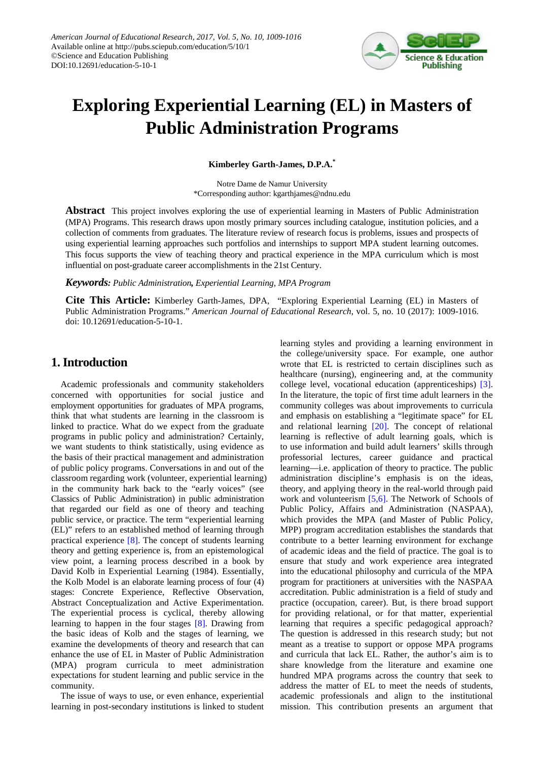

# **Exploring Experiential Learning (EL) in Masters of Public Administration Programs**

**Kimberley Garth-James, D.P.A.\***

Notre Dame de Namur University \*Corresponding author: kgarthjames@ndnu.edu

**Abstract** This project involves exploring the use of experiential learning in Masters of Public Administration (MPA) Programs. This research draws upon mostly primary sources including catalogue, institution policies, and a collection of comments from graduates. The literature review of research focus is problems, issues and prospects of using experiential learning approaches such portfolios and internships to support MPA student learning outcomes. This focus supports the view of teaching theory and practical experience in the MPA curriculum which is most influential on post-graduate career accomplishments in the 21st Century.

*Keywords: Public Administration, Experiential Learning, MPA Program*

**Cite This Article:** Kimberley Garth-James, DPA, "Exploring Experiential Learning (EL) in Masters of Public Administration Programs." *American Journal of Educational Research*, vol. 5, no. 10 (2017): 1009-1016. doi: 10.12691/education-5-10-1.

# **1. Introduction**

Academic professionals and community stakeholders concerned with opportunities for social justice and employment opportunities for graduates of MPA programs, think that what students are learning in the classroom is linked to practice. What do we expect from the graduate programs in public policy and administration? Certainly, we want students to think statistically, using evidence as the basis of their practical management and administration of public policy programs. Conversations in and out of the classroom regarding work (volunteer, experiential learning) in the community hark back to the "early voices" (see Classics of Public Administration) in public administration that regarded our field as one of theory and teaching public service, or practice. The term "experiential learning (EL)" refers to an established method of learning through practical experience [\[8\].](#page-6-0) The concept of students learning theory and getting experience is, from an epistemological view point, a learning process described in a book by David Kolb in Experiential Learning (1984). Essentially, the Kolb Model is an elaborate learning process of four (4) stages: Concrete Experience, Reflective Observation, Abstract Conceptualization and Active Experimentation. The experiential process is cyclical, thereby allowing learning to happen in the four stages [\[8\].](#page-6-0) Drawing from the basic ideas of Kolb and the stages of learning, we examine the developments of theory and research that can enhance the use of EL in Master of Public Administration (MPA) program curricula to meet administration expectations for student learning and public service in the community.

The issue of ways to use, or even enhance, experiential learning in post-secondary institutions is linked to student learning styles and providing a learning environment in the college/university space. For example, one author wrote that EL is restricted to certain disciplines such as healthcare (nursing), engineering and, at the community college level, vocational education (apprenticeships) [\[3\].](#page-6-1) In the literature, the topic of first time adult learners in the community colleges was about improvements to curricula and emphasis on establishing a "legitimate space" for EL and relational learning [\[20\].](#page-6-2) The concept of relational learning is reflective of adult learning goals, which is to use information and build adult learners' skills through professorial lectures, career guidance and practical learning—i.e. application of theory to practice. The public administration discipline's emphasis is on the ideas, theory, and applying theory in the real-world through paid work and volunteerism [\[5,6\].](#page-6-3) The Network of Schools of Public Policy, Affairs and Administration (NASPAA), which provides the MPA (and Master of Public Policy, MPP) program accreditation establishes the standards that contribute to a better learning environment for exchange of academic ideas and the field of practice. The goal is to ensure that study and work experience area integrated into the educational philosophy and curricula of the MPA program for practitioners at universities with the NASPAA accreditation. Public administration is a field of study and practice (occupation, career). But, is there broad support for providing relational, or for that matter, experiential learning that requires a specific pedagogical approach? The question is addressed in this research study; but not meant as a treatise to support or oppose MPA programs and curricula that lack EL. Rather, the author's aim is to share knowledge from the literature and examine one hundred MPA programs across the country that seek to address the matter of EL to meet the needs of students, academic professionals and align to the institutional mission. This contribution presents an argument that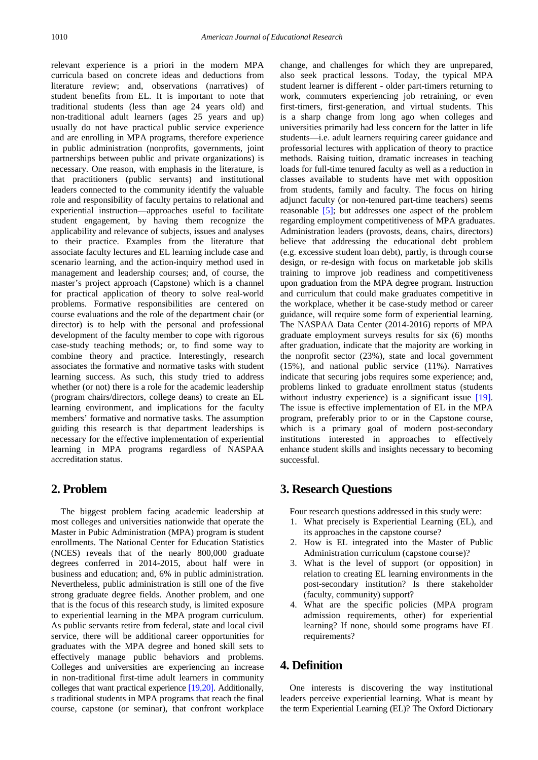relevant experience is a priori in the modern MPA curricula based on concrete ideas and deductions from literature review; and, observations (narratives) of student benefits from EL. It is important to note that traditional students (less than age 24 years old) and non-traditional adult learners (ages 25 years and up) usually do not have practical public service experience and are enrolling in MPA programs, therefore experience in public administration (nonprofits, governments, joint partnerships between public and private organizations) is necessary. One reason, with emphasis in the literature, is that practitioners (public servants) and institutional leaders connected to the community identify the valuable role and responsibility of faculty pertains to relational and experiential instruction—approaches useful to facilitate student engagement, by having them recognize the applicability and relevance of subjects, issues and analyses to their practice. Examples from the literature that associate faculty lectures and EL learning include case and scenario learning, and the action-inquiry method used in management and leadership courses; and, of course, the master's project approach (Capstone) which is a channel for practical application of theory to solve real-world problems. Formative responsibilities are centered on course evaluations and the role of the department chair (or director) is to help with the personal and professional development of the faculty member to cope with rigorous case-study teaching methods; or, to find some way to combine theory and practice. Interestingly, research associates the formative and normative tasks with student learning success. As such, this study tried to address whether (or not) there is a role for the academic leadership (program chairs/directors, college deans) to create an EL learning environment, and implications for the faculty members' formative and normative tasks. The assumption guiding this research is that department leaderships is necessary for the effective implementation of experiential learning in MPA programs regardless of NASPAA accreditation status.

# **2. Problem**

The biggest problem facing academic leadership at most colleges and universities nationwide that operate the Master in Pubic Administration (MPA) program is student enrollments. The National Center for Education Statistics (NCES) reveals that of the nearly 800,000 graduate degrees conferred in 2014-2015, about half were in business and education; and, 6% in public administration. Nevertheless, public administration is still one of the five strong graduate degree fields. Another problem, and one that is the focus of this research study, is limited exposure to experiential learning in the MPA program curriculum. As public servants retire from federal, state and local civil service, there will be additional career opportunities for graduates with the MPA degree and honed skill sets to effectively manage public behaviors and problems. Colleges and universities are experiencing an increase in non-traditional first-time adult learners in community colleges that want practical experience [\[19,20\].](#page-6-4) Additionally, s traditional students in MPA programs that reach the final course, capstone (or seminar), that confront workplace change, and challenges for which they are unprepared, also seek practical lessons. Today, the typical MPA student learner is different - older part-timers returning to work, commuters experiencing job retraining, or even first-timers, first-generation, and virtual students. This is a sharp change from long ago when colleges and universities primarily had less concern for the latter in life students—i.e. adult learners requiring career guidance and professorial lectures with application of theory to practice methods. Raising tuition, dramatic increases in teaching loads for full-time tenured faculty as well as a reduction in classes available to students have met with opposition from students, family and faculty. The focus on hiring adjunct faculty (or non-tenured part-time teachers) seems reasonable [\[5\];](#page-6-3) but addresses one aspect of the problem regarding employment competitiveness of MPA graduates. Administration leaders (provosts, deans, chairs, directors) believe that addressing the educational debt problem (e.g. excessive student loan debt), partly, is through course design, or re-design with focus on marketable job skills training to improve job readiness and competitiveness upon graduation from the MPA degree program. Instruction and curriculum that could make graduates competitive in the workplace, whether it be case-study method or career guidance, will require some form of experiential learning. The NASPAA Data Center (2014-2016) reports of MPA graduate employment surveys results for six (6) months after graduation, indicate that the majority are working in the nonprofit sector (23%), state and local government (15%), and national public service (11%). Narratives indicate that securing jobs requires some experience; and, problems linked to graduate enrollment status (students without industry experience) is a significant issue [\[19\].](#page-6-4) The issue is effective implementation of EL in the MPA program, preferably prior to or in the Capstone course, which is a primary goal of modern post-secondary institutions interested in approaches to effectively enhance student skills and insights necessary to becoming successful.

# **3. Research Questions**

Four research questions addressed in this study were:

- 1. What precisely is Experiential Learning (EL), and its approaches in the capstone course?
- 2. How is EL integrated into the Master of Public Administration curriculum (capstone course)?
- 3. What is the level of support (or opposition) in relation to creating EL learning environments in the post-secondary institution? Is there stakeholder (faculty, community) support?
- 4. What are the specific policies (MPA program admission requirements, other) for experiential learning? If none, should some programs have EL requirements?

## **4. Definition**

One interests is discovering the way institutional leaders perceive experiential learning. What is meant by the term Experiential Learning (EL)? The Oxford Dictionary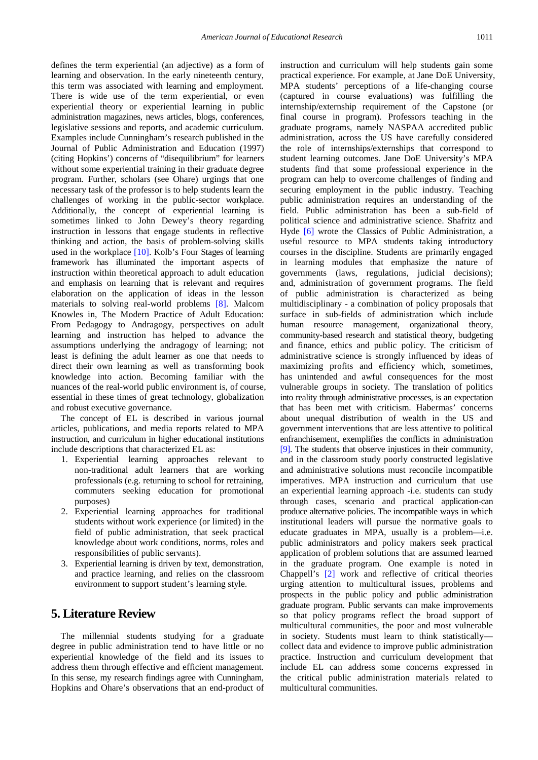defines the term experiential (an adjective) as a form of learning and observation. In the early nineteenth century, this term was associated with learning and employment. There is wide use of the term experiential, or even experiential theory or experiential learning in public administration magazines, news articles, blogs, conferences, legislative sessions and reports, and academic curriculum. Examples include Cunningham's research published in the Journal of Public Administration and Education (1997) (citing Hopkins') concerns of "disequilibrium" for learners without some experiential training in their graduate degree program. Further, scholars (see Ohare) urgings that one necessary task of the professor is to help students learn the challenges of working in the public-sector workplace. Additionally, the concept of experiential learning is sometimes linked to John Dewey's theory regarding instruction in lessons that engage students in reflective thinking and action, the basis of problem-solving skills used in the workplace [\[10\].](#page-6-5) Kolb's Four Stages of learning framework has illuminated the important aspects of instruction within theoretical approach to adult education and emphasis on learning that is relevant and requires elaboration on the application of ideas in the lesson materials to solving real-world problems [\[8\].](#page-6-0) Malcom Knowles in, The Modern Practice of Adult Education: From Pedagogy to Andragogy, perspectives on adult learning and instruction has helped to advance the assumptions underlying the andragogy of learning; not least is defining the adult learner as one that needs to direct their own learning as well as transforming book knowledge into action. Becoming familiar with the nuances of the real-world public environment is, of course, essential in these times of great technology, globalization and robust executive governance.

The concept of EL is described in various journal articles, publications, and media reports related to MPA instruction, and curriculum in higher educational institutions include descriptions that characterized EL as:

- 1. Experiential learning approaches relevant to non-traditional adult learners that are working professionals (e.g. returning to school for retraining, commuters seeking education for promotional purposes)
- 2. Experiential learning approaches for traditional students without work experience (or limited) in the field of public administration, that seek practical knowledge about work conditions, norms, roles and responsibilities of public servants).
- 3. Experiential learning is driven by text, demonstration, and practice learning, and relies on the classroom environment to support student's learning style.

# **5. Literature Review**

The millennial students studying for a graduate degree in public administration tend to have little or no experiential knowledge of the field and its issues to address them through effective and efficient management. In this sense, my research findings agree with Cunningham, Hopkins and Ohare's observations that an end-product of instruction and curriculum will help students gain some practical experience. For example, at Jane DoE University, MPA students' perceptions of a life-changing course (captured in course evaluations) was fulfilling the internship/externship requirement of the Capstone (or final course in program). Professors teaching in the graduate programs, namely NASPAA accredited public administration, across the US have carefully considered the role of internships/externships that correspond to student learning outcomes. Jane DoE University's MPA students find that some professional experience in the program can help to overcome challenges of finding and securing employment in the public industry. Teaching public administration requires an understanding of the field. Public administration has been a sub-field of political science and administrative science. Shafritz and Hyde [\[6\]](#page-6-6) wrote the Classics of Public Administration, a useful resource to MPA students taking introductory courses in the discipline. Students are primarily engaged in learning modules that emphasize the nature of governments (laws, regulations, judicial decisions); and, administration of government programs. The field of public administration is characterized as being multidisciplinary - a combination of policy proposals that surface in sub-fields of administration which include human resource management, organizational theory, community-based research and statistical theory, budgeting and finance, ethics and public policy. The criticism of administrative science is strongly influenced by ideas of maximizing profits and efficiency which, sometimes, has unintended and awful consequences for the most vulnerable groups in society. The translation of politics into reality through administrative processes, is an expectation that has been met with criticism. Habermas' concerns about unequal distribution of wealth in the US and government interventions that are less attentive to political enfranchisement, exemplifies the conflicts in administration [\[9\].](#page-6-7) The students that observe injustices in their community, and in the classroom study poorly constructed legislative and administrative solutions must reconcile incompatible imperatives. MPA instruction and curriculum that use an experiential learning approach -i.e. students can study through cases, scenario and practical application-can produce alternative policies. The incompatible ways in which institutional leaders will pursue the normative goals to educate graduates in MPA, usually is a problem—i.e. public administrators and policy makers seek practical application of problem solutions that are assumed learned in the graduate program. One example is noted in Chappell's [\[2\]](#page-6-8) work and reflective of critical theories urging attention to multicultural issues, problems and prospects in the public policy and public administration graduate program. Public servants can make improvements so that policy programs reflect the broad support of multicultural communities, the poor and most vulnerable in society. Students must learn to think statistically collect data and evidence to improve public administration practice. Instruction and curriculum development that include EL can address some concerns expressed in the critical public administration materials related to multicultural communities.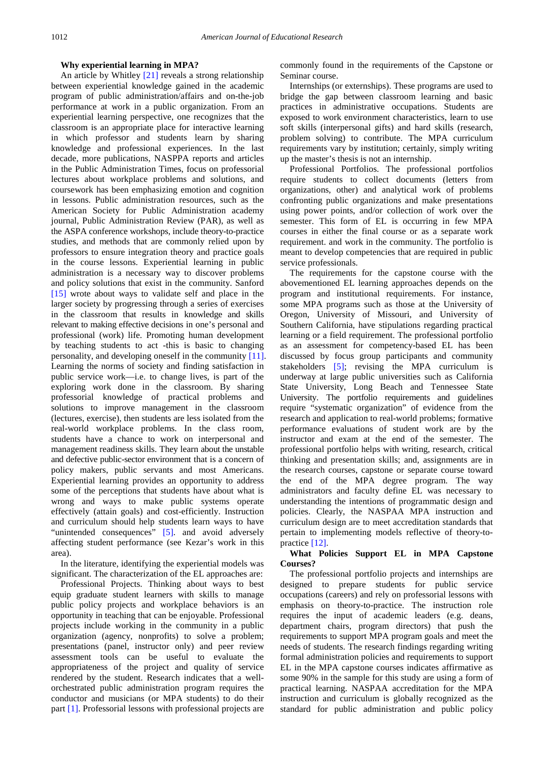#### **Why experiential learning in MPA?**

An article by Whitley [\[21\]](#page-7-0) reveals a strong relationship between experiential knowledge gained in the academic program of public administration/affairs and on-the-job performance at work in a public organization. From an experiential learning perspective, one recognizes that the classroom is an appropriate place for interactive learning in which professor and students learn by sharing knowledge and professional experiences. In the last decade, more publications, NASPPA reports and articles in the Public Administration Times, focus on professorial lectures about workplace problems and solutions, and coursework has been emphasizing emotion and cognition in lessons. Public administration resources, such as the American Society for Public Administration academy journal, Public Administration Review (PAR), as well as the ASPA conference workshops, include theory-to-practice studies, and methods that are commonly relied upon by professors to ensure integration theory and practice goals in the course lessons. Experiential learning in public administration is a necessary way to discover problems and policy solutions that exist in the community. Sanford [\[15\]](#page-6-9) wrote about ways to validate self and place in the larger society by progressing through a series of exercises in the classroom that results in knowledge and skills relevant to making effective decisions in one's personal and professional (work) life. Promoting human development by teaching students to act -this is basic to changing personality, and developing oneself in the community [\[11\].](#page-6-10) Learning the norms of society and finding satisfaction in public service work—i.e. to change lives, is part of the exploring work done in the classroom. By sharing professorial knowledge of practical problems and solutions to improve management in the classroom (lectures, exercise), then students are less isolated from the real-world workplace problems. In the class room, students have a chance to work on interpersonal and management readiness skills. They learn about the unstable and defective public-sector environment that is a concern of policy makers, public servants and most Americans. Experiential learning provides an opportunity to address some of the perceptions that students have about what is wrong and ways to make public systems operate effectively (attain goals) and cost-efficiently. Instruction and curriculum should help students learn ways to have "unintended consequences" [\[5\].](#page-6-3) and avoid adversely affecting student performance (see Kezar's work in this area).

In the literature, identifying the experiential models was significant. The characterization of the EL approaches are:

Professional Projects. Thinking about ways to best equip graduate student learners with skills to manage public policy projects and workplace behaviors is an opportunity in teaching that can be enjoyable. Professional projects include working in the community in a public organization (agency, nonprofits) to solve a problem; presentations (panel, instructor only) and peer review assessment tools can be useful to evaluate the appropriateness of the project and quality of service rendered by the student. Research indicates that a wellorchestrated public administration program requires the conductor and musicians (or MPA students) to do their part [\[1\].](#page-6-11) Professorial lessons with professional projects are commonly found in the requirements of the Capstone or Seminar course.

Internships (or externships). These programs are used to bridge the gap between classroom learning and basic practices in administrative occupations. Students are exposed to work environment characteristics, learn to use soft skills (interpersonal gifts) and hard skills (research, problem solving) to contribute. The MPA curriculum requirements vary by institution; certainly, simply writing up the master's thesis is not an internship.

Professional Portfolios. The professional portfolios require students to collect documents (letters from organizations, other) and analytical work of problems confronting public organizations and make presentations using power points, and/or collection of work over the semester. This form of EL is occurring in few MPA courses in either the final course or as a separate work requirement. and work in the community. The portfolio is meant to develop competencies that are required in public service professionals.

The requirements for the capstone course with the abovementioned EL learning approaches depends on the program and institutional requirements. For instance, some MPA programs such as those at the University of Oregon, University of Missouri, and University of Southern California, have stipulations regarding practical learning or a field requirement. The professional portfolio as an assessment for competency-based EL has been discussed by focus group participants and community stakeholders [\[5\];](#page-6-3) revising the MPA curriculum is underway at large public universities such as California State University, Long Beach and Tennessee State University. The portfolio requirements and guidelines require "systematic organization" of evidence from the research and application to real-world problems; formative performance evaluations of student work are by the instructor and exam at the end of the semester. The professional portfolio helps with writing, research, critical thinking and presentation skills; and, assignments are in the research courses, capstone or separate course toward the end of the MPA degree program. The way administrators and faculty define EL was necessary to understanding the intentions of programmatic design and policies. Clearly, the NASPAA MPA instruction and curriculum design are to meet accreditation standards that pertain to implementing models reflective of theory-topractice [\[12\].](#page-6-12)

#### **What Policies Support EL in MPA Capstone Courses?**

The professional portfolio projects and internships are designed to prepare students for public service occupations (careers) and rely on professorial lessons with emphasis on theory-to-practice. The instruction role requires the input of academic leaders (e.g. deans, department chairs, program directors) that push the requirements to support MPA program goals and meet the needs of students. The research findings regarding writing formal administration policies and requirements to support EL in the MPA capstone courses indicates affirmative as some 90% in the sample for this study are using a form of practical learning. NASPAA accreditation for the MPA instruction and curriculum is globally recognized as the standard for public administration and public policy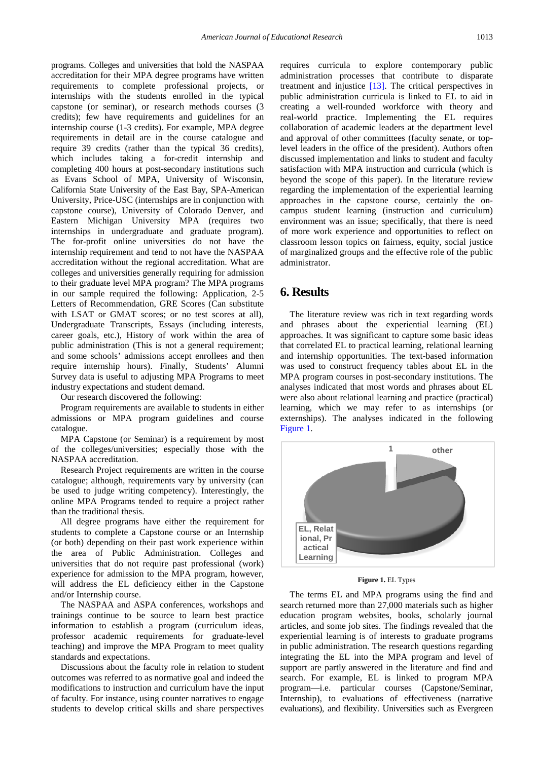programs. Colleges and universities that hold the NASPAA accreditation for their MPA degree programs have written requirements to complete professional projects, or internships with the students enrolled in the typical capstone (or seminar), or research methods courses (3 credits); few have requirements and guidelines for an internship course (1-3 credits). For example, MPA degree requirements in detail are in the course catalogue and require 39 credits (rather than the typical 36 credits), which includes taking a for-credit internship and completing 400 hours at post-secondary institutions such as Evans School of MPA, University of Wisconsin, California State University of the East Bay, SPA-American University, Price-USC (internships are in conjunction with capstone course), University of Colorado Denver, and Eastern Michigan University MPA (requires two internships in undergraduate and graduate program). The for-profit online universities do not have the internship requirement and tend to not have the NASPAA accreditation without the regional accreditation. What are colleges and universities generally requiring for admission to their graduate level MPA program? The MPA programs in our sample required the following: Application, 2-5 Letters of Recommendation, GRE Scores (Can substitute with LSAT or GMAT scores; or no test scores at all), Undergraduate Transcripts, Essays (including interests, career goals, etc.), History of work within the area of public administration (This is not a general requirement; and some schools' admissions accept enrollees and then require internship hours). Finally, Students' Alumni Survey data is useful to adjusting MPA Programs to meet industry expectations and student demand.

Our research discovered the following:

Program requirements are available to students in either admissions or MPA program guidelines and course catalogue.

MPA Capstone (or Seminar) is a requirement by most of the colleges/universities; especially those with the NASPAA accreditation.

Research Project requirements are written in the course catalogue; although, requirements vary by university (can be used to judge writing competency). Interestingly, the online MPA Programs tended to require a project rather than the traditional thesis.

All degree programs have either the requirement for students to complete a Capstone course or an Internship (or both) depending on their past work experience within the area of Public Administration. Colleges and universities that do not require past professional (work) experience for admission to the MPA program, however, will address the EL deficiency either in the Capstone and/or Internship course.

The NASPAA and ASPA conferences, workshops and trainings continue to be source to learn best practice information to establish a program (curriculum ideas, professor academic requirements for graduate-level teaching) and improve the MPA Program to meet quality standards and expectations.

Discussions about the faculty role in relation to student outcomes was referred to as normative goal and indeed the modifications to instruction and curriculum have the input of faculty. For instance, using counter narratives to engage students to develop critical skills and share perspectives

requires curricula to explore contemporary public administration processes that contribute to disparate treatment and injustice [\[13\].](#page-6-13) The critical perspectives in public administration curricula is linked to EL to aid in creating a well-rounded workforce with theory and real-world practice. Implementing the EL requires collaboration of academic leaders at the department level and approval of other committees (faculty senate, or toplevel leaders in the office of the president). Authors often discussed implementation and links to student and faculty satisfaction with MPA instruction and curricula (which is beyond the scope of this paper). In the literature review regarding the implementation of the experiential learning approaches in the capstone course, certainly the oncampus student learning (instruction and curriculum) environment was an issue; specifically, that there is need of more work experience and opportunities to reflect on classroom lesson topics on fairness, equity, social justice of marginalized groups and the effective role of the public administrator.

## **6. Results**

The literature review was rich in text regarding words and phrases about the experiential learning (EL) approaches. It was significant to capture some basic ideas that correlated EL to practical learning, relational learning and internship opportunities. The text-based information was used to construct frequency tables about EL in the MPA program courses in post-secondary institutions. The analyses indicated that most words and phrases about EL were also about relational learning and practice (practical) learning, which we may refer to as internships (or externships). The analyses indicated in the following [Figure 1.](#page-4-0)

<span id="page-4-0"></span>

**Figure 1.** EL Types

The terms EL and MPA programs using the find and search returned more than 27,000 materials such as higher education program websites, books, scholarly journal articles, and some job sites. The findings revealed that the experiential learning is of interests to graduate programs in public administration. The research questions regarding integrating the EL into the MPA program and level of support are partly answered in the literature and find and search. For example, EL is linked to program MPA program—i.e. particular courses (Capstone/Seminar, Internship), to evaluations of effectiveness (narrative evaluations), and flexibility. Universities such as Evergreen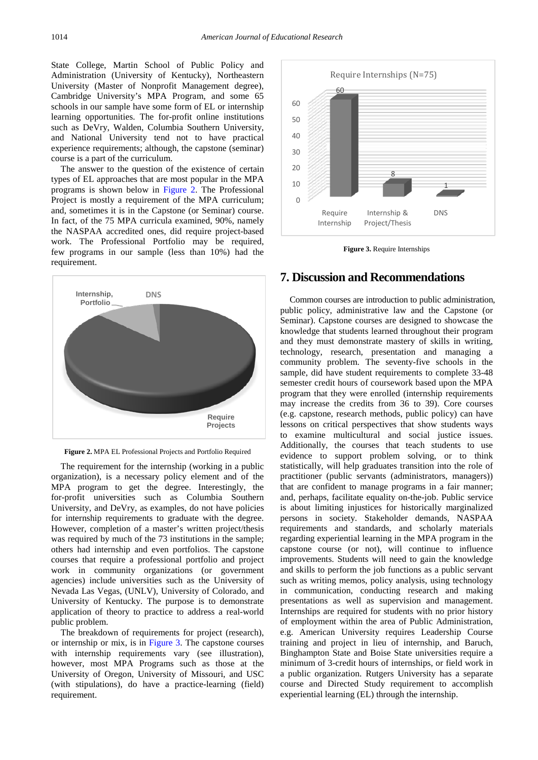State College, Martin School of Public Policy and Administration (University of Kentucky), Northeastern University (Master of Nonprofit Management degree), Cambridge University's MPA Program, and some 65 schools in our sample have some form of EL or internship learning opportunities. The for-profit online institutions such as DeVry, Walden, Columbia Southern University, and National University tend not to have practical experience requirements; although, the capstone (seminar) course is a part of the curriculum.

The answer to the question of the existence of certain types of EL approaches that are most popular in the MPA programs is shown below in [Figure 2.](#page-5-0) The Professional Project is mostly a requirement of the MPA curriculum; and, sometimes it is in the Capstone (or Seminar) course. In fact, of the 75 MPA curricula examined, 90%, namely the NASPAA accredited ones, did require project-based work. The Professional Portfolio may be required, few programs in our sample (less than 10%) had the requirement.

<span id="page-5-0"></span>

**Figure 2.** MPA EL Professional Projects and Portfolio Required

The requirement for the internship (working in a public organization), is a necessary policy element and of the MPA program to get the degree. Interestingly, the for-profit universities such as Columbia Southern University, and DeVry, as examples, do not have policies for internship requirements to graduate with the degree. However, completion of a master's written project/thesis was required by much of the 73 institutions in the sample; others had internship and even portfolios. The capstone courses that require a professional portfolio and project work in community organizations (or government agencies) include universities such as the University of Nevada Las Vegas, (UNLV), University of Colorado, and University of Kentucky. The purpose is to demonstrate application of theory to practice to address a real-world public problem.

The breakdown of requirements for project (research), or internship or mix, is in [Figure 3.](#page-5-1) The capstone courses with internship requirements vary (see illustration), however, most MPA Programs such as those at the University of Oregon, University of Missouri, and USC (with stipulations), do have a practice-learning (field) requirement.

<span id="page-5-1"></span>

**Figure 3.** Require Internships

## **7. Discussion and Recommendations**

Common courses are introduction to public administration, public policy, administrative law and the Capstone (or Seminar). Capstone courses are designed to showcase the knowledge that students learned throughout their program and they must demonstrate mastery of skills in writing, technology, research, presentation and managing a community problem. The seventy-five schools in the sample, did have student requirements to complete 33-48 semester credit hours of coursework based upon the MPA program that they were enrolled (internship requirements may increase the credits from 36 to 39). Core courses (e.g. capstone, research methods, public policy) can have lessons on critical perspectives that show students ways to examine multicultural and social justice issues. Additionally, the courses that teach students to use evidence to support problem solving, or to think statistically, will help graduates transition into the role of practitioner (public servants (administrators, managers)) that are confident to manage programs in a fair manner; and, perhaps, facilitate equality on-the-job. Public service is about limiting injustices for historically marginalized persons in society. Stakeholder demands, NASPAA requirements and standards, and scholarly materials regarding experiential learning in the MPA program in the capstone course (or not), will continue to influence improvements. Students will need to gain the knowledge and skills to perform the job functions as a public servant such as writing memos, policy analysis, using technology in communication, conducting research and making presentations as well as supervision and management. Internships are required for students with no prior history of employment within the area of Public Administration, e.g. American University requires Leadership Course training and project in lieu of internship, and Baruch, Binghampton State and Boise State universities require a minimum of 3-credit hours of internships, or field work in a public organization. Rutgers University has a separate course and Directed Study requirement to accomplish experiential learning (EL) through the internship.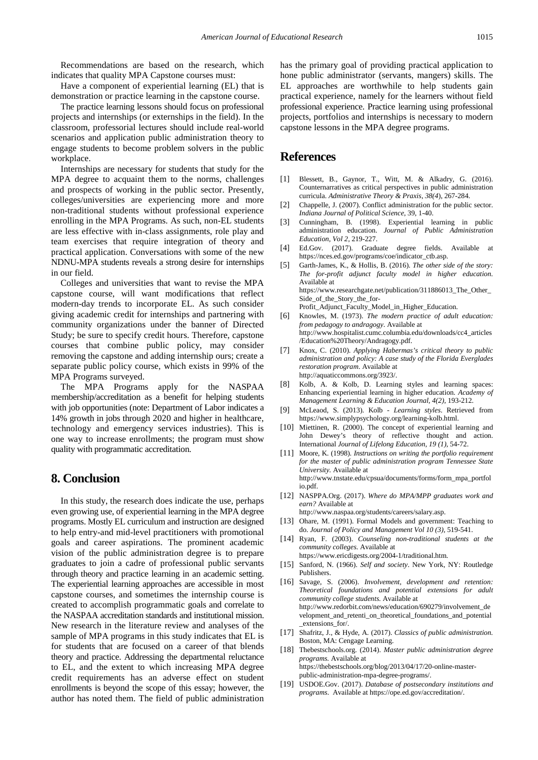Recommendations are based on the research, which indicates that quality MPA Capstone courses must:

Have a component of experiential learning (EL) that is demonstration or practice learning in the capstone course.

The practice learning lessons should focus on professional projects and internships (or externships in the field). In the classroom, professorial lectures should include real-world scenarios and application public administration theory to engage students to become problem solvers in the public workplace.

Internships are necessary for students that study for the MPA degree to acquaint them to the norms, challenges and prospects of working in the public sector. Presently, colleges/universities are experiencing more and more non-traditional students without professional experience enrolling in the MPA Programs. As such, non-EL students are less effective with in-class assignments, role play and team exercises that require integration of theory and practical application. Conversations with some of the new NDNU-MPA students reveals a strong desire for internships in our field.

Colleges and universities that want to revise the MPA capstone course, will want modifications that reflect modern-day trends to incorporate EL. As such consider giving academic credit for internships and partnering with community organizations under the banner of Directed Study; be sure to specify credit hours. Therefore, capstone courses that combine public policy, may consider removing the capstone and adding internship ours; create a separate public policy course, which exists in 99% of the MPA Programs surveyed.

The MPA Programs apply for the NASPAA membership/accreditation as a benefit for helping students with job opportunities (note: Department of Labor indicates a 14% growth in jobs through 2020 and higher in healthcare, technology and emergency services industries). This is one way to increase enrollments; the program must show quality with programmatic accreditation.

## **8. Conclusion**

In this study, the research does indicate the use, perhaps even growing use, of experiential learning in the MPA degree programs. Mostly EL curriculum and instruction are designed to help entry-and mid-level practitioners with promotional goals and career aspirations. The prominent academic vision of the public administration degree is to prepare graduates to join a cadre of professional public servants through theory and practice learning in an academic setting. The experiential learning approaches are accessible in most capstone courses, and sometimes the internship course is created to accomplish programmatic goals and correlate to the NASPAA accreditation standards and institutional mission. New research in the literature review and analyses of the sample of MPA programs in this study indicates that EL is for students that are focused on a career of that blends theory and practice. Addressing the departmental reluctance to EL, and the extent to which increasing MPA degree credit requirements has an adverse effect on student enrollments is beyond the scope of this essay; however, the author has noted them. The field of public administration has the primary goal of providing practical application to hone public administrator (servants, mangers) skills. The EL approaches are worthwhile to help students gain practical experience, namely for the learners without field professional experience. Practice learning using professional projects, portfolios and internships is necessary to modern capstone lessons in the MPA degree programs.

## **References**

- <span id="page-6-11"></span>[1] Blessett, B., Gaynor, T., Witt, M. & Alkadry, G. (2016). Counternarratives as critical perspectives in public administration curricula. *Administrative Theory & Praxis, 38(4*), 267-284.
- <span id="page-6-8"></span>[2] Chappelle, J. (2007). Conflict administration for the public sector. *Indiana Journal of Political Science*, 39, 1-40.
- <span id="page-6-1"></span>[3] Cunningham, B. (1998). Experiential learning in public administration education. *Journal of Public Administration Education, Vol 2,* 219-227.
- [4] Ed.Gov. (2017). Graduate degree fields. Available at https://nces.ed.gov/programs/coe/indicator\_ctb.asp.
- <span id="page-6-3"></span>[5] Garth-James, K., & Hollis, B. (2016). *The other side of the story: The for-profit adjunct faculty model in higher education*. Available at https://www.researchgate.net/publication/311886013\_The\_Other\_ Side\_of\_the\_Story\_the\_for-

Profit\_Adjunct\_Faculty\_Model\_in\_Higher\_Education.

- <span id="page-6-6"></span>Knowles, M. (1973). *The modern practice of adult education: from pedagogy to andragogy*. Available at http://www.hospitalist.cumc.columbia.edu/downloads/cc4\_articles /Education%20Theory/Andragogy.pdf.
- [7] Knox, C. (2010). *Applying Habermas's critical theory to public administration and policy: A case study of the Florida Everglades restoration program*. Available at http://aquaticcommons.org/3923/.
- <span id="page-6-0"></span>[8] Kolb, A. & Kolb, D. Learning styles and learning spaces: Enhancing experiential learning in higher education. *Academy of Management Learning & Education Journal, 4(2)*, 193-212.
- <span id="page-6-7"></span>[9] McLeaod, S. (2013). Kolb - *Learning styles*. Retrieved from https://www.simplypsychology.org/learning-kolb.html.
- <span id="page-6-5"></span>[10] Miettinen, R. (2000). The concept of experiential learning and John Dewey's theory of reflective thought and action. International *Journal of Lifelong Education, 19 (1),* 54-72.
- <span id="page-6-10"></span>[11] Moore, K. (1998). *Instructions on writing the portfolio requirement for the master of public administration program Tennessee State University.* Available at http://www.tnstate.edu/cpsua/documents/forms/form\_mpa\_portfol io.pdf.
- <span id="page-6-12"></span>[12] NASPPA.Org. (2017). *Where do MPA/MPP graduates work and earn?* Available at

http://www.naspaa.org/students/careers/salary.asp.

- <span id="page-6-13"></span>[13] Ohare, M. (1991). Formal Models and government: Teaching to do. *Journal of Policy and Management Vol 10 (3),* 519-541.
- [14] Ryan, F. (2003). *Counseling non-traditional students at the community colleges*. Available at https://www.ericdigests.org/2004-1/traditional.htm.
- <span id="page-6-9"></span>[15] Sanford, N. (1966). *Self and society*. New York, NY: Routledge Publishers.
- [16] Savage, S. (2006). *Involvement, development and retention: Theoretical foundations and potential extensions for adult community college students.* Available at http://www.redorbit.com/news/education/690279/involvement\_de velopment\_and\_retenti\_on\_theoretical\_foundations\_and\_potential \_extensions\_for/.
- [17] Shafritz, J., & Hyde, A. (2017). *Classics of public administration.* Boston, MA: Cengage Learning.
- <span id="page-6-4"></span>[18] Thebestschools.org. (2014). *Master public administration degree programs.* Available at https://thebestschools.org/blog/2013/04/17/20-online-masterpublic-administration-mpa-degree-programs/.
- <span id="page-6-2"></span>[19] USDOE.Gov. (2017). *Database of postsecondary institutions and programs*. Available at https://ope.ed.gov/accreditation/.